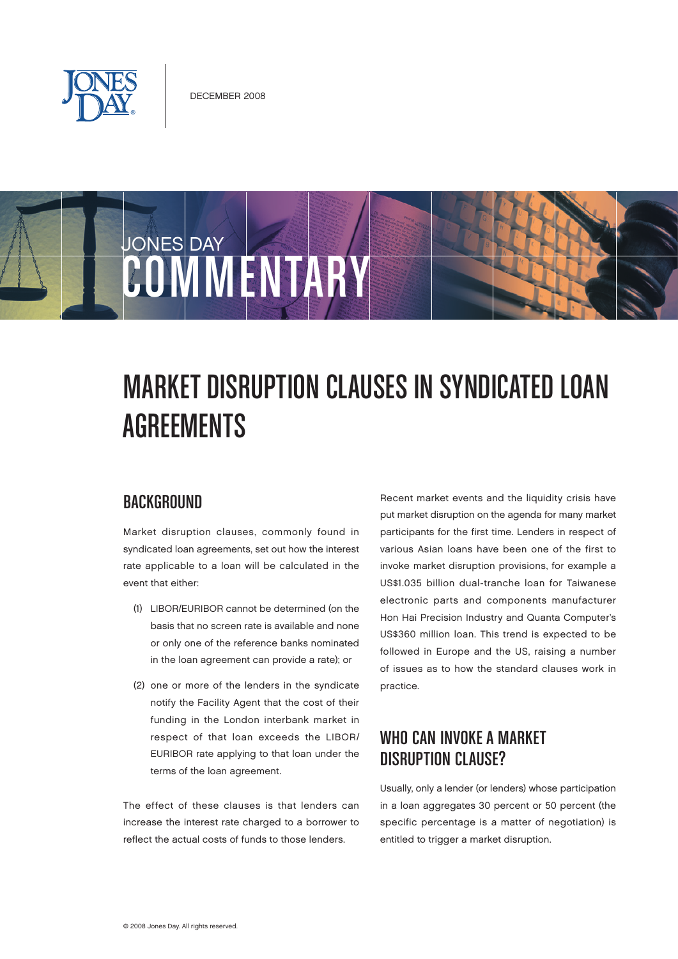

# JONES DAY COMMENTAR

## MARKET DISRUPTION CLAUSES IN SYNDICATED LOAN **AGREEMENTS**

#### **BACKGROUND**

Market disruption clauses, commonly found in syndicated loan agreements, set out how the interest rate applicable to a loan will be calculated in the event that either:

- (1) LIBOR/EURIBOR cannot be determined (on the basis that no screen rate is available and none or only one of the reference banks nominated in the loan agreement can provide a rate); or
- (2) one or more of the lenders in the syndicate notify the Facility Agent that the cost of their funding in the London interbank market in respect of that loan exceeds the LIBOR/ EURIBOR rate applying to that loan under the terms of the loan agreement.

The effect of these clauses is that lenders can increase the interest rate charged to a borrower to reflect the actual costs of funds to those lenders.

Recent market events and the liquidity crisis have put market disruption on the agenda for many market participants for the first time. Lenders in respect of various Asian loans have been one of the first to invoke market disruption provisions, for example a US\$1.035 billion dual-tranche loan for Taiwanese electronic parts and components manufacturer Hon Hai Precision Industry and Quanta Computer's US\$360 million loan. This trend is expected to be followed in Europe and the US, raising a number of issues as to how the standard clauses work in practice.

#### WHO CAN INVOKE A MARKET DISRUPTION CLAUSE?

Usually, only a lender (or lenders) whose participation in a loan aggregates 30 percent or 50 percent (the specific percentage is a matter of negotiation) is entitled to trigger a market disruption.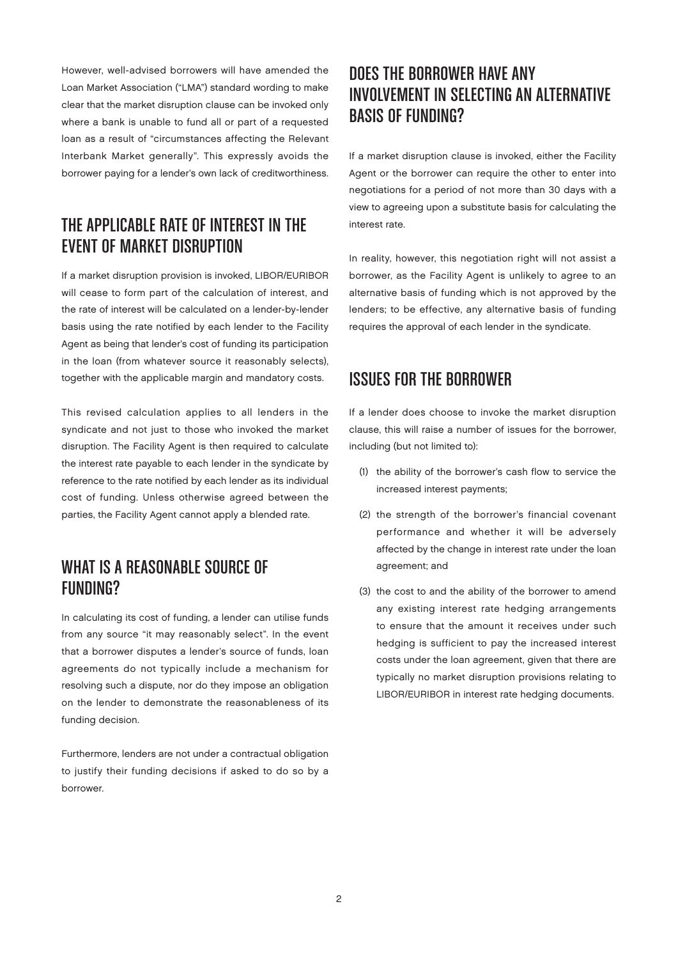However, well-advised borrowers will have amended the Loan Market Association ("LMA") standard wording to make clear that the market disruption clause can be invoked only where a bank is unable to fund all or part of a requested loan as a result of "circumstances affecting the Relevant Interbank Market generally". This expressly avoids the borrower paying for a lender's own lack of creditworthiness.

#### THE APPLICABLE RATE OF INTEREST IN THE **EVENT OF MARKET DISRIIPTION**

If a market disruption provision is invoked, LIBOR/EURIBOR will cease to form part of the calculation of interest, and the rate of interest will be calculated on a lender-by-lender basis using the rate notified by each lender to the Facility Agent as being that lender's cost of funding its participation in the loan (from whatever source it reasonably selects), together with the applicable margin and mandatory costs.

This revised calculation applies to all lenders in the syndicate and not just to those who invoked the market disruption. The Facility Agent is then required to calculate the interest rate payable to each lender in the syndicate by reference to the rate notified by each lender as its individual cost of funding. Unless otherwise agreed between the parties, the Facility Agent cannot apply a blended rate.

#### WHAT IS A REASONABLE SOURCE OF Funding?

In calculating its cost of funding, a lender can utilise funds from any source "it may reasonably select". In the event that a borrower disputes a lender's source of funds, loan agreements do not typically include a mechanism for resolving such a dispute, nor do they impose an obligation on the lender to demonstrate the reasonableness of its funding decision.

Furthermore, lenders are not under a contractual obligation to justify their funding decisions if asked to do so by a borrower.

### DOES THE BORROWER HAVE ANY INVOLVEMENT IN SELECTING AN ALTERNATIVE Basis of Funding?

If a market disruption clause is invoked, either the Facility Agent or the borrower can require the other to enter into negotiations for a period of not more than 30 days with a view to agreeing upon a substitute basis for calculating the interest rate.

In reality, however, this negotiation right will not assist a borrower, as the Facility Agent is unlikely to agree to an alternative basis of funding which is not approved by the lenders; to be effective, any alternative basis of funding requires the approval of each lender in the syndicate.

#### Issues for the Borrower

If a lender does choose to invoke the market disruption clause, this will raise a number of issues for the borrower, including (but not limited to):

- (1) the ability of the borrower's cash flow to service the increased interest payments;
- (2) the strength of the borrower's financial covenant performance and whether it will be adversely affected by the change in interest rate under the loan agreement; and
- (3) the cost to and the ability of the borrower to amend any existing interest rate hedging arrangements to ensure that the amount it receives under such hedging is sufficient to pay the increased interest costs under the loan agreement, given that there are typically no market disruption provisions relating to LIBOR/EURIBOR in interest rate hedging documents.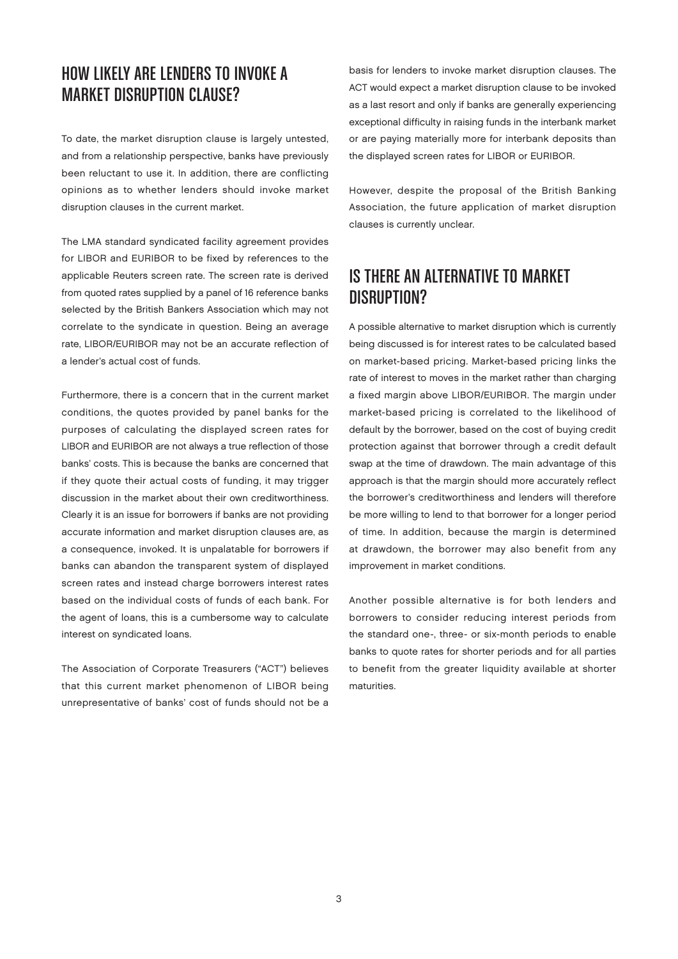#### How Likely Are Lenders to Invoke a MARKET DISRIIPTION CLAUSE?

To date, the market disruption clause is largely untested, and from a relationship perspective, banks have previously been reluctant to use it. In addition, there are conflicting opinions as to whether lenders should invoke market disruption clauses in the current market.

The LMA standard syndicated facility agreement provides for LIBOR and EURIBOR to be fixed by references to the applicable Reuters screen rate. The screen rate is derived from quoted rates supplied by a panel of 16 reference banks selected by the British Bankers Association which may not correlate to the syndicate in question. Being an average rate, LIBOR/EURIBOR may not be an accurate reflection of a lender's actual cost of funds.

Furthermore, there is a concern that in the current market conditions, the quotes provided by panel banks for the purposes of calculating the displayed screen rates for LIBOR and EURIBOR are not always a true reflection of those banks' costs. This is because the banks are concerned that if they quote their actual costs of funding, it may trigger discussion in the market about their own creditworthiness. Clearly it is an issue for borrowers if banks are not providing accurate information and market disruption clauses are, as a consequence, invoked. It is unpalatable for borrowers if banks can abandon the transparent system of displayed screen rates and instead charge borrowers interest rates based on the individual costs of funds of each bank. For the agent of loans, this is a cumbersome way to calculate interest on syndicated loans.

The Association of Corporate Treasurers ("ACT") believes that this current market phenomenon of LIBOR being unrepresentative of banks' cost of funds should not be a

basis for lenders to invoke market disruption clauses. The ACT would expect a market disruption clause to be invoked as a last resort and only if banks are generally experiencing exceptional difficulty in raising funds in the interbank market or are paying materially more for interbank deposits than the displayed screen rates for LIBOR or EURIBOR.

However, despite the proposal of the British Banking Association, the future application of market disruption clauses is currently unclear.

#### Is There an Alternative to Market DISRUPTION?

A possible alternative to market disruption which is currently being discussed is for interest rates to be calculated based on market-based pricing. Market-based pricing links the rate of interest to moves in the market rather than charging a fixed margin above LIBOR/EURIBOR. The margin under market-based pricing is correlated to the likelihood of default by the borrower, based on the cost of buying credit protection against that borrower through a credit default swap at the time of drawdown. The main advantage of this approach is that the margin should more accurately reflect the borrower's creditworthiness and lenders will therefore be more willing to lend to that borrower for a longer period of time. In addition, because the margin is determined at drawdown, the borrower may also benefit from any improvement in market conditions.

Another possible alternative is for both lenders and borrowers to consider reducing interest periods from the standard one-, three- or six-month periods to enable banks to quote rates for shorter periods and for all parties to benefit from the greater liquidity available at shorter maturities.